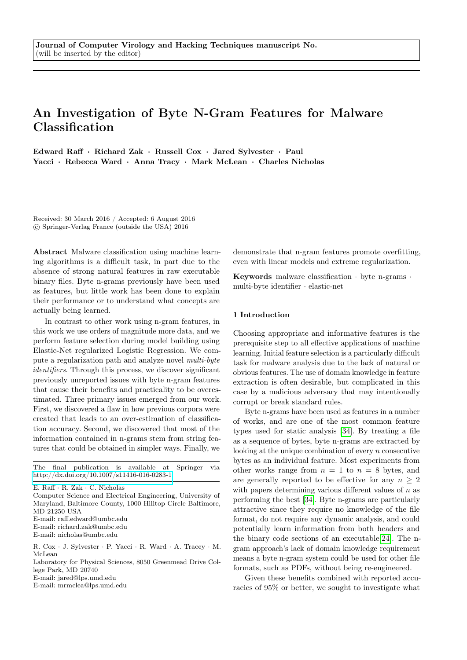# An Investigation of Byte N-Gram Features for Malware Classification

Edward Raff · Richard Zak · Russell Cox · Jared Sylvester · Paul Yacci · Rebecca Ward · Anna Tracy · Mark McLean · Charles Nicholas

Received: 30 March 2016 / Accepted: 6 August 2016 c Springer-Verlag France (outside the USA) 2016

Abstract Malware classification using machine learning algorithms is a difficult task, in part due to the absence of strong natural features in raw executable binary files. Byte n-grams previously have been used as features, but little work has been done to explain their performance or to understand what concepts are actually being learned.

In contrast to other work using n-gram features, in this work we use orders of magnitude more data, and we perform feature selection during model building using Elastic-Net regularized Logistic Regression. We compute a regularization path and analyze novel multi-byte identifiers. Through this process, we discover significant previously unreported issues with byte n-gram features that cause their benefits and practicality to be overestimated. Three primary issues emerged from our work. First, we discovered a flaw in how previous corpora were created that leads to an over-estimation of classification accuracy. Second, we discovered that most of the information contained in n-grams stem from string features that could be obtained in simpler ways. Finally, we

The final publication is available at Springer via <http://dx.doi.org/10.1007/s11416-016-0283-1>

E. Raff · R. Zak · C. Nicholas

Computer Science and Electrical Engineering, University of Maryland, Baltimore County, 1000 Hilltop Circle Baltimore, MD 21250 USA E-mail: raff.edward@umbc.edu E-mail: richard.zak@umbc.edu

E-mail: nicholas@umbc.edu

R. Cox · J. Sylvester · P. Yacci · R. Ward · A. Tracey · M. McLean

Laboratory for Physical Sciences, 8050 Greenmead Drive College Park, MD 20740

E-mail: jared@lps.umd.edu

E-mail: mrmclea@lps.umd.edu

demonstrate that n-gram features promote overfitting, even with linear models and extreme regularization.

Keywords malware classification  $\cdot$  byte n-grams  $\cdot$ multi-byte identifier · elastic-net

## 1 Introduction

Choosing appropriate and informative features is the prerequisite step to all effective applications of machine learning. Initial feature selection is a particularly difficult task for malware analysis due to the lack of natural or obvious features. The use of domain knowledge in feature extraction is often desirable, but complicated in this case by a malicious adversary that may intentionally corrupt or break standard rules.

Byte n-grams have been used as features in a number of works, and are one of the most common feature types used for static analysis [\[34\]](#page-14-0). By treating a file as a sequence of bytes, byte n-grams are extracted by looking at the unique combination of every  $n$  consecutive bytes as an individual feature. Most experiments from other works range from  $n = 1$  to  $n = 8$  bytes, and are generally reported to be effective for any  $n \geq 2$ with papers determining various different values of  $n$  as performing the best [\[34\]](#page-14-0). Byte n-grams are particularly attractive since they require no knowledge of the file format, do not require any dynamic analysis, and could potentially learn information from both headers and the binary code sections of an executable[\[24\]](#page-14-1). The ngram approach's lack of domain knowledge requirement means a byte n-gram system could be used for other file formats, such as PDFs, without being re-engineered.

Given these benefits combined with reported accuracies of 95% or better, we sought to investigate what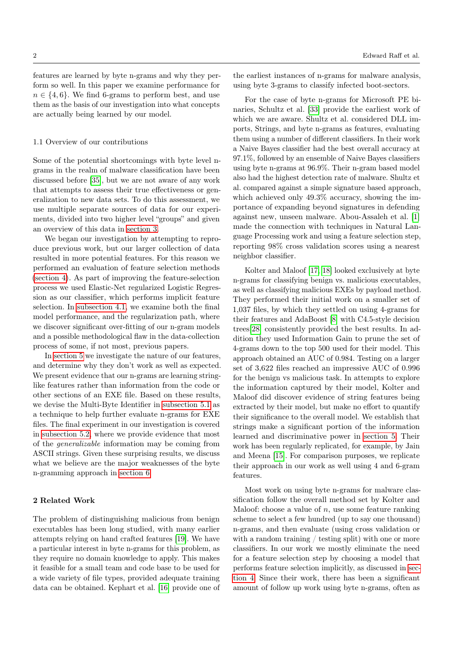features are learned by byte n-grams and why they perform so well. In this paper we examine performance for  $n \in \{4, 6\}$ . We find 6-grams to perform best, and use them as the basis of our investigation into what concepts are actually being learned by our model.

#### 1.1 Overview of our contributions

Some of the potential shortcomings with byte level ngrams in the realm of malware classification have been discussed before [\[35\]](#page-14-2), but we are not aware of any work that attempts to assess their true effectiveness or generalization to new data sets. To do this assessment, we use multiple separate sources of data for our experiments, divided into two higher level "groups" and given an overview of this data in [section 3.](#page-2-0)

We began our investigation by attempting to reproduce previous work, but our larger collection of data resulted in more potential features. For this reason we performed an evaluation of feature selection methods [\(section 4\)](#page-3-0). As part of improving the feature-selection process we used Elastic-Net regularized Logistic Regression as our classifier, which performs implicit feature selection. In [subsection 4.1,](#page-5-0) we examine both the final model performance, and the regularization path, where we discover significant over-fitting of our n-gram models and a possible methodological flaw in the data-collection process of some, if not most, previous papers.

In [section 5](#page-8-0) we investigate the nature of our features, and determine why they don't work as well as expected. We present evidence that our n-grams are learning stringlike features rather than information from the code or other sections of an EXE file. Based on these results, we devise the Multi-Byte Identifier in [subsection 5.1](#page-9-0) as a technique to help further evaluate n-grams for EXE files. The final experiment in our investigation is covered in [subsection 5.2,](#page-10-0) where we provide evidence that most of the generalizable information may be coming from ASCII strings. Given these surprising results, we discuss what we believe are the major weaknesses of the byte n-gramming approach in [section 6.](#page-11-0)

# 2 Related Work

The problem of distinguishing malicious from benign executables has been long studied, with many earlier attempts relying on hand crafted features [\[19\]](#page-14-3). We have a particular interest in byte n-grams for this problem, as they require no domain knowledge to apply. This makes it feasible for a small team and code base to be used for a wide variety of file types, provided adequate training data can be obtained. Kephart et al. [\[16\]](#page-14-4) provide one of the earliest instances of n-grams for malware analysis, using byte 3-grams to classify infected boot-sectors.

For the case of byte n-grams for Microsoft PE binaries, Schultz et al. [\[33\]](#page-14-5) provide the earliest work of which we are aware. Shultz et al. considered DLL imports, Strings, and byte n-grams as features, evaluating them using a number of different classifiers. In their work a Naive Bayes classifier had the best overall accuracy at 97.1%, followed by an ensemble of Naive Bayes classifiers using byte n-grams at 96.9%. Their n-gram based model also had the highest detection rate of malware. Shultz et al. compared against a simple signature based approach, which achieved only 49.3% accuracy, showing the importance of expanding beyond signatures in defending against new, unseen malware. Abou-Assaleh et al. [\[1\]](#page-13-0) made the connection with techniques in Natural Language Processing work and using a feature selection step, reporting 98% cross validation scores using a nearest neighbor classifier.

Kolter and Maloof [\[17,](#page-14-6) [18\]](#page-14-7) looked exclusively at byte n-grams for classifying benign vs. malicious executables, as well as classifying malicious EXEs by payload method. They performed their initial work on a smaller set of 1,037 files, by which they settled on using 4-grams for their features and AdaBoost [\[8\]](#page-13-1) with C4.5-style decision trees[\[28\]](#page-14-8) consistently provided the best results. In addition they used Information Gain to prune the set of 4-grams down to the top 500 used for their model. This approach obtained an AUC of 0.984. Testing on a larger set of 3,622 files reached an impressive AUC of 0.996 for the benign vs malicious task. In attempts to explore the information captured by their model, Kolter and Maloof did discover evidence of string features being extracted by their model, but make no effort to quantify their significance to the overall model. We establish that strings make a significant portion of the information learned and discriminative power in [section 5.](#page-8-0) Their work has been regularly replicated, for example, by Jain and Meena [\[15\]](#page-14-9). For comparison purposes, we replicate their approach in our work as well using 4 and 6-gram features.

Most work on using byte n-grams for malware classification follow the overall method set by Kolter and Maloof: choose a value of  $n$ , use some feature ranking scheme to select a few hundred (up to say one thousand) n-grams, and then evaluate (using cross validation or with a random training / testing split) with one or more classifiers. In our work we mostly eliminate the need for a feature selection step by choosing a model that performs feature selection implicitly, as discussed in [sec](#page-3-0)[tion 4.](#page-3-0) Since their work, there has been a significant amount of follow up work using byte n-grams, often as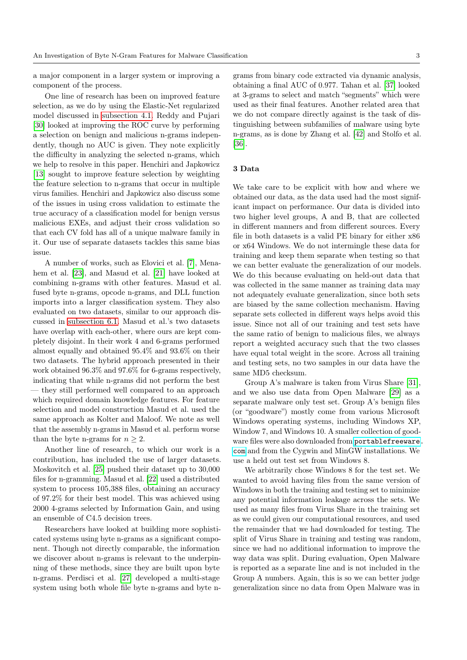a major component in a larger system or improving a component of the process.

One line of research has been on improved feature selection, as we do by using the Elastic-Net regularized model discussed in [subsection 4.1.](#page-5-0) Reddy and Pujari [\[30\]](#page-14-10) looked at improving the ROC curve by performing a selection on benign and malicious n-grams independently, though no AUC is given. They note explicitly the difficulty in analyzing the selected n-grams, which we help to resolve in this paper. Henchiri and Japkowicz [\[13\]](#page-14-11) sought to improve feature selection by weighting the feature selection to n-grams that occur in multiple virus families. Henchiri and Japkowicz also discuss some of the issues in using cross validation to estimate the true accuracy of a classification model for benign versus malicious EXEs, and adjust their cross validation so that each CV fold has all of a unique malware family in it. Our use of separate datasets tackles this same bias issue.

A number of works, such as Elovici et al. [\[7\]](#page-13-2), Menahem et al. [\[23\]](#page-14-12), and Masud et al. [\[21\]](#page-14-13) have looked at combining n-grams with other features. Masud et al. fused byte n-grams, opcode n-grams, and DLL function imports into a larger classification system. They also evaluated on two datasets, similar to our approach discussed in [subsection 6.1.](#page-12-0) Masud et al.'s two datasets have overlap with each-other, where ours are kept completely disjoint. In their work 4 and 6-grams performed almost equally and obtained 95.4% and 93.6% on their two datasets. The hybrid approach presented in their work obtained 96.3% and 97.6% for 6-grams respectively, indicating that while n-grams did not perform the best — they still performed well compared to an approach which required domain knowledge features. For feature selection and model construction Masud et al. used the same approach as Kolter and Maloof. We note as well that the assembly n-grams in Masud et al. perform worse than the byte n-grams for  $n \geq 2$ .

Another line of research, to which our work is a contribution, has included the use of larger datasets. Moskovitch et al. [\[25\]](#page-14-14) pushed their dataset up to 30,000 files for n-gramming. Masud et al. [\[22\]](#page-14-15) used a distributed system to process 105,388 files, obtaining an accuracy of 97.2% for their best model. This was achieved using 2000 4-grams selected by Information Gain, and using an ensemble of C4.5 decision trees.

Researchers have looked at building more sophisticated systems using byte n-grams as a significant component. Though not directly comparable, the information we discover about n-grams is relevant to the underpinning of these methods, since they are built upon byte n-grams. Perdisci et al. [\[27\]](#page-14-16) developed a multi-stage system using both whole file byte n-grams and byte ngrams from binary code extracted via dynamic analysis, obtaining a final AUC of 0.977. Tahan et al. [\[37\]](#page-14-17) looked at 3-grams to select and match "segments" which were used as their final features. Another related area that we do not compare directly against is the task of distinguishing between subfamilies of malware using byte n-grams, as is done by Zhang et al. [\[42\]](#page-14-18) and Stolfo et al. [\[36\]](#page-14-19).

## <span id="page-2-0"></span>3 Data

We take care to be explicit with how and where we obtained our data, as the data used had the most significant impact on performance. Our data is divided into two higher level groups, A and B, that are collected in different manners and from different sources. Every file in both datasets is a valid PE binary for either x86 or x64 Windows. We do not intermingle these data for training and keep them separate when testing so that we can better evaluate the generalization of our models. We do this because evaluating on held-out data that was collected in the same manner as training data may not adequately evaluate generalization, since both sets are biased by the same collection mechanism. Having separate sets collected in different ways helps avoid this issue. Since not all of our training and test sets have the same ratio of benign to malicious files, we always report a weighted accuracy such that the two classes have equal total weight in the score. Across all training and testing sets, no two samples in our data have the same MD5 checksum.

Group A's malware is taken from Virus Share [\[31\]](#page-14-20), and we also use data from Open Malware [\[29\]](#page-14-21) as a separate malware only test set. Group A's benign files (or "goodware") mostly come from various Microsoft Windows operating systems, including Windows XP, Window 7, and Windows 10. A smaller collection of goodware files were also downloaded from [portablefreeware.](portablefreeware.com) [com](portablefreeware.com) and from the Cygwin and MinGW installations. We use a held out test set from Windows 8.

We arbitrarily chose Windows 8 for the test set. We wanted to avoid having files from the same version of Windows in both the training and testing set to minimize any potential information leakage across the sets. We used as many files from Virus Share in the training set as we could given our computational resources, and used the remainder that we had downloaded for testing. The split of Virus Share in training and testing was random, since we had no additional information to improve the way data was split. During evaluation, Open Malware is reported as a separate line and is not included in the Group A numbers. Again, this is so we can better judge generalization since no data from Open Malware was in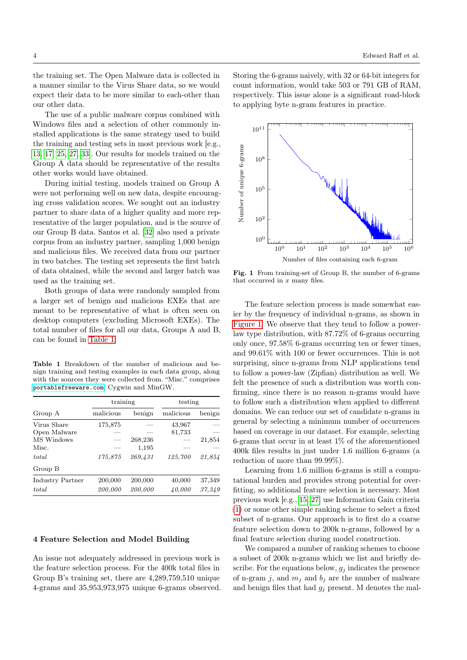the training set. The Open Malware data is collected in a manner similar to the Virus Share data, so we would expect their data to be more similar to each-other than our other data.

The use of a public malware corpus combined with Windows files and a selection of other commonly installed applications is the same strategy used to build the training and testing sets in most previous work [e.g., [13,](#page-14-11) [17,](#page-14-6) [25,](#page-14-14) [27,](#page-14-16) [33\]](#page-14-5). Our results for models trained on the Group A data should be representative of the results other works would have obtained.

During initial testing, models trained on Group A were not performing well on new data, despite encouraging cross validation scores. We sought out an industry partner to share data of a higher quality and more representative of the larger population, and is the source of our Group B data. Santos et al. [\[32\]](#page-14-22) also used a private corpus from an industry partner, sampling 1,000 benign and malicious files. We received data from our partner in two batches. The testing set represents the first batch of data obtained, while the second and larger batch was used as the training set.

Both groups of data were randomly sampled from a larger set of benign and malicious EXEs that are meant to be representative of what is often seen on desktop computers (excluding Microsoft EXEs). The total number of files for all our data, Groups A and B, can be found in [Table 1.](#page-3-1)

<span id="page-3-1"></span>Table 1 Breakdown of the number of malicious and benign training and testing examples in each data group, along with the sources they were collected from. "Misc." comprises <portablefreeware.com>, Cygwin and MinGW.

|                  | training  |         | testing   |        |  |
|------------------|-----------|---------|-----------|--------|--|
| Group A          | malicious | benign  | malicious | benign |  |
| Virus Share      | 175,875   |         | 43,967    |        |  |
| Open Malware     |           |         | 81,733    |        |  |
| MS Windows       |           | 268,236 |           | 21,854 |  |
| Misc.            |           | 1,195   |           |        |  |
| total            | 175,875   | 269,431 | 125,700   | 21,854 |  |
| Group B          |           |         |           |        |  |
| Industry Partner | 200,000   | 200,000 | 40,000    | 37,349 |  |
| total            | 200,000   | 200,000 | 40,000    | 37.349 |  |

## <span id="page-3-0"></span>4 Feature Selection and Model Building

An issue not adequately addressed in previous work is the feature selection process. For the 400k total files in Group B's training set, there are 4,289,759,510 unique 4-grams and 35,953,973,975 unique 6-grams observed. Storing the 6-grams naively, with 32 or 64-bit integers for count information, would take 503 or 791 GB of RAM, respectively. This issue alone is a significant road-block to applying byte n-gram features in practice.



<span id="page-3-2"></span>Fig. 1 From training-set of Group B, the number of 6-grams that occurred in  $x$  many files.

The feature selection process is made somewhat easier by the frequency of individual n-grams, as shown in [Figure 1.](#page-3-2) We observe that they tend to follow a powerlaw type distribution, with 87.72% of 6-grams occurring only once, 97.58% 6-grams occurring ten or fewer times, and 99.61% with 100 or fewer occurrences. This is not surprising, since n-grams from NLP applications tend to follow a power-law (Zipfian) distribution as well. We felt the presence of such a distribution was worth confirming, since there is no reason n-grams would have to follow such a distribution when applied to different domains. We can reduce our set of candidate n-grams in general by selecting a minimum number of occurrences based on coverage in our dataset. For example, selecting 6-grams that occur in at least 1% of the aforementioned 400k files results in just under 1.6 million 6-grams (a reduction of more than 99.99%).

Learning from 1.6 million 6-grams is still a computational burden and provides strong potential for overfitting, so additional feature selection is necessary. Most previous work [e.g., [15,](#page-14-9) [27\]](#page-14-16) use Information Gain criteria [\(1\)](#page-4-0) or some other simple ranking scheme to select a fixed subset of n-grams. Our approach is to first do a coarse feature selection down to 200k n-grams, followed by a final feature selection during model construction.

We compared a number of ranking schemes to choose a subset of 200k n-grams which we list and briefly describe. For the equations below,  $g_i$  indicates the presence of n-gram  $j$ , and  $m_j$  and  $b_j$  are the number of malware and benign files that had  $g_i$  present. M denotes the mal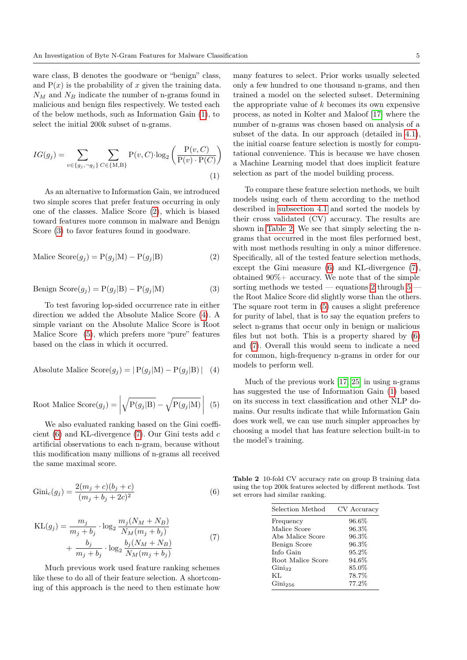ware class, B denotes the goodware or "benign" class, and  $P(x)$  is the probability of x given the training data.  $N_M$  and  $N_B$  indicate the number of n-grams found in malicious and benign files respectively. We tested each of the below methods, such as Information Gain [\(1\)](#page-4-0), to select the initial 200k subset of n-grams.

<span id="page-4-0"></span>
$$
IG(g_j) = \sum_{v \in \{g_j, \neg g_j\}} \sum_{C \in \{\text{M}, \text{B}\}} \text{P}(v, C) \cdot \log_2 \left( \frac{\text{P}(v, C)}{\text{P}(v) \cdot \text{P}(C)} \right)
$$
\n(1)

As an alternative to Information Gain, we introduced two simple scores that prefer features occurring in only one of the classes. Malice Score [\(2\)](#page-4-1), which is biased toward features more common in malware and Benign Score [\(3\)](#page-4-2) to favor features found in goodware.

<span id="page-4-2"></span><span id="page-4-1"></span>
$$
Malice Score(g_j) = P(g_j|M) - P(g_j|B)
$$
\n(2)

$$
Benign Score(g_j) = P(g_j|B) - P(g_j|M)
$$
\n(3)

To test favoring lop-sided occurrence rate in either direction we added the Absolute Malice Score [\(4\)](#page-4-3). A simple variant on the Absolute Malice Score is Root Malice Score [\(5\)](#page-4-4), which prefers more "pure" features based on the class in which it occurred.

<span id="page-4-4"></span><span id="page-4-3"></span>Absolute Malice Score
$$
(g_j)
$$
 =  $|P(g_j|M) - P(g_j|B)|$  (4)

Root Malice Score
$$
(g_j)
$$
 =  $\left| \sqrt{P(g_j|B)} - \sqrt{P(g_j|M)} \right|$  (5)

We also evaluated ranking based on the Gini coeffi-cient [\(6\)](#page-4-5) and KL-divergence [\(7\)](#page-4-6). Our Gini tests add  $c$ artificial observations to each n-gram, because without this modification many millions of n-grams all received the same maximal score.

<span id="page-4-5"></span>
$$
Gini_c(g_j) = \frac{2(m_j + c)(b_j + c)}{(m_j + b_j + 2c)^2}
$$
\n(6)

<span id="page-4-6"></span>
$$
KL(g_j) = \frac{m_j}{m_j + b_j} \cdot \log_2 \frac{m_j(N_M + N_B)}{N_M(m_j + b_j)} + \frac{b_j}{m_j + b_j} \cdot \log_2 \frac{b_j(N_M + N_B)}{N_M(m_j + b_j)}
$$
(7)

Much previous work used feature ranking schemes like these to do all of their feature selection. A shortcoming of this approach is the need to then estimate how

many features to select. Prior works usually selected only a few hundred to one thousand n-grams, and then trained a model on the selected subset. Determining the appropriate value of  $k$  becomes its own expensive process, as noted in Kolter and Maloof [\[17\]](#page-14-6) where the number of n-grams was chosen based on analysis of a subset of the data. In our approach (detailed in [4.1\)](#page-5-0), the initial coarse feature selection is mostly for computational convenience. This is because we have chosen a Machine Learning model that does implicit feature selection as part of the model building process.

To compare these feature selection methods, we built models using each of them according to the method described in [subsection 4.1](#page-5-0) and sorted the models by their cross validated (CV) accuracy. The results are shown in [Table 2.](#page-4-7) We see that simply selecting the ngrams that occurred in the most files performed best, with most methods resulting in only a minor difference. Specifically, all of the tested feature selection methods, except the Gini measure [\(6\)](#page-4-5) and KL-divergence [\(7\)](#page-4-6), obtained  $90\%$  + accuracy. We note that of the simple sorting methods we tested — equations [2](#page-4-1) through  $5$  the Root Malice Score did slightly worse than the others. The square root term in [\(5\)](#page-4-4) causes a slight preference for purity of label, that is to say the equation prefers to select n-grams that occur only in benign or malicious files but not both. This is a property shared by [\(6\)](#page-4-5) and [\(7\)](#page-4-6). Overall this would seem to indicate a need for common, high-frequency n-grams in order for our models to perform well.

Much of the previous work [\[17,](#page-14-6) [25\]](#page-14-14) in using n-grams has suggested the use of Information Gain [\(1\)](#page-4-0) based on its success in text classification and other NLP domains. Our results indicate that while Information Gain does work well, we can use much simpler approaches by choosing a model that has feature selection built-in to the model's training.

<span id="page-4-7"></span>Table 2 10-fold CV accuracy rate on group B training data using the top 200k features selected by different methods. Test set errors had similar ranking.

| Selection Method   | CV Accuracy |
|--------------------|-------------|
| Frequency          | $96.6\%$    |
| Malice Score       | $96.3\%$    |
| Abs Malice Score   | 96.3%       |
| Benign Score       | 96.3%       |
| Info Gain          | 95.2%       |
| Root Malice Score  | 94.6%       |
| Gini <sub>32</sub> | 85.0%       |
| KL                 | 78.7%       |
| Gini256            | 77.2%       |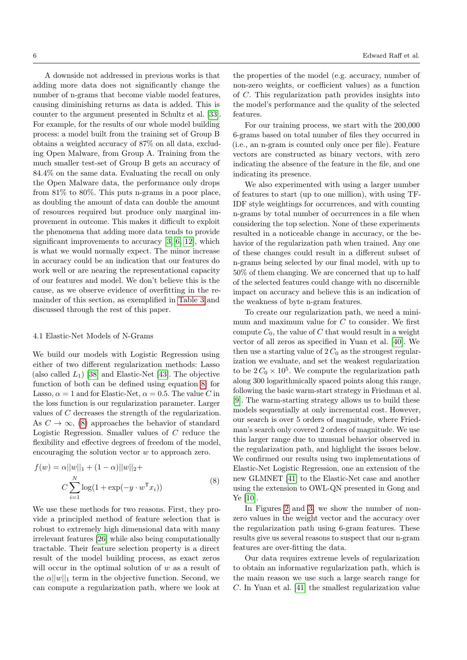A downside not addressed in previous works is that adding more data does not significantly change the number of n-grams that become viable model features, causing diminishing returns as data is added. This is counter to the argument presented in Schultz et al. [\[33\]](#page-14-5). For example, for the results of our whole model building process: a model built from the training set of Group B obtains a weighted accuracy of 87% on all data, excluding Open Malware, from Group A. Training from the much smaller test-set of Group B gets an accuracy of 84.4% on the same data. Evaluating the recall on only the Open Malware data, the performance only drops from 81% to 80%. This puts n-grams in a poor place, as doubling the amount of data can double the amount of resources required but produce only marginal improvement in outcome. This makes it difficult to exploit the phenomena that adding more data tends to provide significant improvements to accuracy [\[3,](#page-13-3) [6,](#page-13-4) [12\]](#page-14-23), which is what we would normally expect. The minor increase in accuracy could be an indication that our features do work well or are nearing the representational capacity of our features and model. We don't believe this is the cause, as we observe evidence of overfitting in the remainder of this section, as exemplified in [Table 3](#page-6-0) and discussed through the rest of this paper.

#### <span id="page-5-0"></span>4.1 Elastic-Net Models of N-Grams

We build our models with Logistic Regression using either of two different regularization methods: Lasso (also called  $L_1$ ) [\[38\]](#page-14-24) and Elastic-Net [\[43\]](#page-14-25). The objective function of both can be defined using equation [8:](#page-5-1) for Lasso,  $\alpha = 1$  and for Elastic-Net,  $\alpha = 0.5$ . The value C in the loss function is our regularization parameter. Larger values of C decreases the strength of the regularization. As  $C \rightarrow \infty$ , [\(8\)](#page-5-1) approaches the behavior of standard Logistic Regression. Smaller values of C reduce the flexibility and effective degrees of freedom of the model, encouraging the solution vector w to approach zero.

$$
f(w) = \alpha ||w||_1 + (1 - \alpha)||w||_2 +
$$
  
\n
$$
C \sum_{i=1}^{N} \log(1 + \exp(-y \cdot w^{\mathsf{T}} x_i))
$$
\n(8)

We use these methods for two reasons. First, they provide a principled method of feature selection that is robust to extremely high dimensional data with many irrelevant features [\[26\]](#page-14-26) while also being computationally tractable. Their feature selection property is a direct result of the model building process, as exact zeros will occur in the optimal solution of  $w$  as a result of the  $\alpha||w||_1$  term in the objective function. Second, we can compute a regularization path, where we look at

the properties of the model (e.g. accuracy, number of non-zero weights, or coefficient values) as a function of C. This regularization path provides insights into the model's performance and the quality of the selected features.

For our training process, we start with the 200,000 6-grams based on total number of files they occurred in (i.e., an n-gram is counted only once per file). Feature vectors are constructed as binary vectors, with zero indicating the absence of the feature in the file, and one indicating its presence.

We also experimented with using a larger number of features to start (up to one million), with using TF-IDF style weightings for occurrences, and with counting n-grams by total number of occurrences in a file when considering the top selection. None of these experiments resulted in a noticeable change in accuracy, or the behavior of the regularization path when trained. Any one of these changes could result in a different subset of n-grams being selected by our final model, with up to 50% of them changing. We are concerned that up to half of the selected features could change with no discernible impact on accuracy and believe this is an indication of the weakness of byte n-gram features.

To create our regularization path, we need a minimum and maximum value for C to consider. We first compute  $C_0$ , the value of C that would result in a weight vector of all zeros as specified in Yuan et al. [\[40\]](#page-14-27). We then use a starting value of  $2 C_0$  as the strongest regularization we evaluate, and set the weakest regularization to be  $2C_0 \times 10^5$ . We compute the regularization path along 300 logarithmically spaced points along this range, following the basic warm-start strategy in Friedman et al. [\[9\]](#page-13-5). The warm-starting strategy allows us to build these models sequentially at only incremental cost. However, our search is over 5 orders of magnitude, where Friedman's search only covered 2 orders of magnitude. We use this larger range due to unusual behavior observed in the regularization path, and highlight the issues below. We confirmed our results using two implementations of Elastic-Net Logistic Regression, one an extension of the new GLMNET [\[41\]](#page-14-28) to the Elastic-Net case and another using the extension to OWL-QN presented in Gong and Ye [\[10\]](#page-13-6).

<span id="page-5-1"></span>In Figures [2](#page-6-1) and [3,](#page-6-2) we show the number of nonzero values in the weight vector and the accuracy over the regularization path using 6-gram features. These results give us several reasons to suspect that our n-gram features are over-fitting the data.

Our data requires extreme levels of regularization to obtain an informative regularization path, which is the main reason we use such a large search range for C. In Yuan et al. [\[41\]](#page-14-28) the smallest regularization value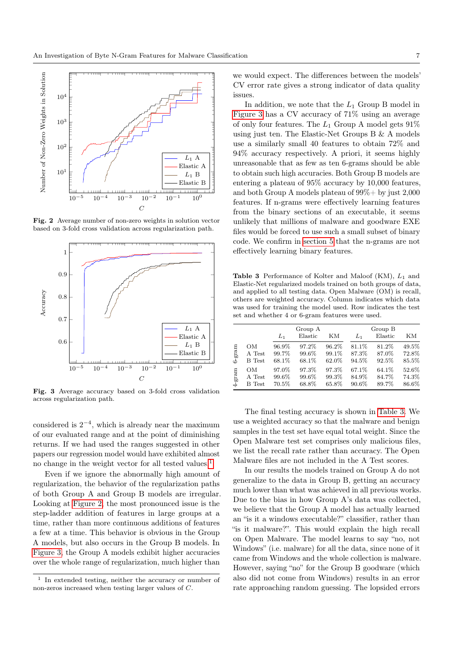

<span id="page-6-1"></span>Fig. 2 Average number of non-zero weights in solution vector based on 3-fold cross validation across regularization path.



<span id="page-6-2"></span>Fig. 3 Average accuracy based on 3-fold cross validation across regularization path.

considered is  $2^{-4}$ , which is already near the maximum of our evaluated range and at the point of diminishing returns. If we had used the ranges suggested in other papers our regression model would have exhibited almost no change in the weight vector for all tested values.<sup>[1](#page-6-3)</sup>

Even if we ignore the abnormally high amount of regularization, the behavior of the regularization paths of both Group A and Group B models are irregular. Looking at [Figure 2,](#page-6-1) the most pronounced issue is the step-ladder addition of features in large groups at a time, rather than more continuous additions of features a few at a time. This behavior is obvious in the Group A models, but also occurs in the Group B models. In [Figure 3,](#page-6-2) the Group A models exhibit higher accuracies over the whole range of regularization, much higher than

we would expect. The differences between the models' CV error rate gives a strong indicator of data quality issues.

In addition, we note that the  $L_1$  Group B model in [Figure 3](#page-6-2) has a CV accuracy of 71% using an average of only four features. The  $L_1$  Group A model gets  $91\%$ using just ten. The Elastic-Net Groups B  $\&$  A models use a similarly small 40 features to obtain 72% and 94% accuracy respectively. A priori, it seems highly unreasonable that as few as ten 6-grams should be able to obtain such high accuracies. Both Group B models are entering a plateau of 95% accuracy by 10,000 features, and both Group A models plateau of 99%+ by just 2,000 features. If n-grams were effectively learning features from the binary sections of an executable, it seems unlikely that millions of malware and goodware EXE files would be forced to use such a small subset of binary code. We confirm in [section 5](#page-8-0) that the n-grams are not effectively learning binary features.

<span id="page-6-0"></span>**Table 3** Performance of Kolter and Maloof (KM),  $L_1$  and Elastic-Net regularized models trained on both groups of data, and applied to all testing data. Open Malware (OM) is recall, others are weighted accuracy. Column indicates which data was used for training the model used. Row indicates the test set and whether 4 or 6-gram features were used.

|           |               |       | Group A |       |       | Group B |       |
|-----------|---------------|-------|---------|-------|-------|---------|-------|
|           |               | $L_1$ | Elastic | ΚM    | L1    | Elastic | KМ    |
| $6$ -gram | OМ            | 96.9% | 97.2%   | 96.2% | 81.1% | 81.2%   | 49.5% |
|           | A Test        | 99.7% | 99.6%   | 99.1% | 87.3% | 87.0%   | 72.8% |
|           | <b>B</b> Test | 68.1% | 68.1%   | 62.0% | 94.5% | 92.5%   | 85.5% |
| $4$ -gram | OМ            | 97.0% | 97.3%   | 97.3% | 67.1% | 64.1%   | 52.6% |
|           | A Test        | 99.6% | 99.6%   | 99.3% | 84.9% | 84.7%   | 74.3% |
|           | <b>B</b> Test | 70.5% | 68.8%   | 65.8% | 90.6% | 89.7%   | 86.6% |

The final testing accuracy is shown in [Table 3.](#page-6-0) We use a weighted accuracy so that the malware and benign samples in the test set have equal total weight. Since the Open Malware test set comprises only malicious files, we list the recall rate rather than accuracy. The Open Malware files are not included in the A Test scores.

In our results the models trained on Group A do not generalize to the data in Group B, getting an accuracy much lower than what was achieved in all previous works. Due to the bias in how Group A's data was collected, we believe that the Group A model has actually learned an "is it a windows executable?" classifier, rather than "is it malware?". This would explain the high recall on Open Malware. The model learns to say "no, not Windows" (i.e. malware) for all the data, since none of it came from Windows and the whole collection is malware. However, saying "no" for the Group B goodware (which also did not come from Windows) results in an error rate approaching random guessing. The lopsided errors

<span id="page-6-3"></span>In extended testing, neither the accuracy or number of non-zeros increased when testing larger values of C.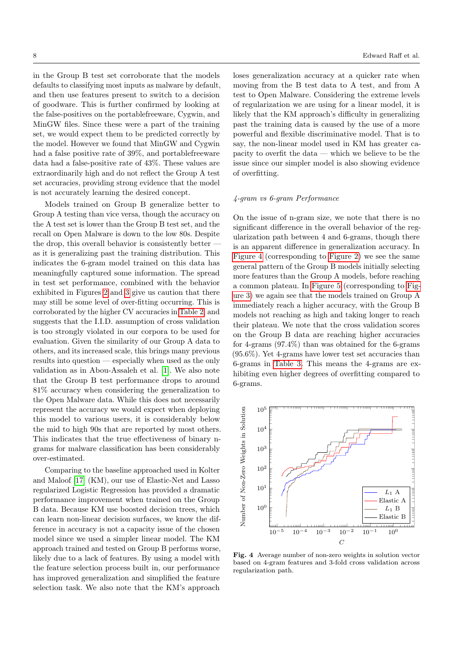in the Group B test set corroborate that the models defaults to classifying most inputs as malware by default, and then use features present to switch to a decision of goodware. This is further confirmed by looking at the false-positives on the portablefreeware, Cygwin, and MinGW files. Since these were a part of the training set, we would expect them to be predicted correctly by the model. However we found that MinGW and Cygwin had a false positive rate of 39%, and portablefreeware data had a false-positive rate of 43%. These values are

extraordinarily high and do not reflect the Group A test set accuracies, providing strong evidence that the model

is not accurately learning the desired concept. Models trained on Group B generalize better to Group A testing than vice versa, though the accuracy on the A test set is lower than the Group B test set, and the recall on Open Malware is down to the low 80s. Despite the drop, this overall behavior is consistently better as it is generalizing past the training distribution. This indicates the 6-gram model trained on this data has meaningfully captured some information. The spread in test set performance, combined with the behavior exhibited in Figures [2](#page-6-1) and [3](#page-6-2) give us caution that there may still be some level of over-fitting occurring. This is corroborated by the higher CV accuracies in [Table 2,](#page-4-7) and suggests that the I.I.D. assumption of cross validation is too strongly violated in our corpora to be used for evaluation. Given the similarity of our Group A data to others, and its increased scale, this brings many previous results into question — especially when used as the only validation as in Abou-Assaleh et al. [\[1\]](#page-13-0). We also note that the Group B test performance drops to around 81% accuracy when considering the generalization to the Open Malware data. While this does not necessarily represent the accuracy we would expect when deploying this model to various users, it is considerably below the mid to high 90s that are reported by most others. This indicates that the true effectiveness of binary ngrams for malware classification has been considerably over-estimated.

Comparing to the baseline approached used in Kolter and Maloof [\[17\]](#page-14-6) (KM), our use of Elastic-Net and Lasso regularized Logistic Regression has provided a dramatic performance improvement when trained on the Group B data. Because KM use boosted decision trees, which can learn non-linear decision surfaces, we know the difference in accuracy is not a capacity issue of the chosen model since we used a simpler linear model. The KM approach trained and tested on Group B performs worse, likely due to a lack of features. By using a model with the feature selection process built in, our performance has improved generalization and simplified the feature selection task. We also note that the KM's approach

loses generalization accuracy at a quicker rate when moving from the B test data to A test, and from A test to Open Malware. Considering the extreme levels of regularization we are using for a linear model, it is likely that the KM approach's difficulty in generalizing past the training data is caused by the use of a more powerful and flexible discriminative model. That is to say, the non-linear model used in KM has greater capacity to overfit the data — which we believe to be the issue since our simpler model is also showing evidence of overfitting.

### 4-gram vs 6-gram Performance

On the issue of n-gram size, we note that there is no significant difference in the overall behavior of the regularization path between 4 and 6-grams, though there is an apparent difference in generalization accuracy. In [Figure 4](#page-7-0) (corresponding to [Figure 2\)](#page-6-1) we see the same general pattern of the Group B models initially selecting more features than the Group A models, before reaching a common plateau. In [Figure 5](#page-8-1) (corresponding to [Fig](#page-6-2)[ure 3\)](#page-6-2) we again see that the models trained on Group A immediately reach a higher accuracy, with the Group B models not reaching as high and taking longer to reach their plateau. We note that the cross validation scores on the Group B data are reaching higher accuracies for 4-grams (97.4%) than was obtained for the 6-grams (95.6%). Yet 4-grams have lower test set accuracies than 6-grams in [Table 3.](#page-6-0) This means the 4-grams are exhibiting even higher degrees of overfitting compared to 6-grams.



<span id="page-7-0"></span>Fig. 4 Average number of non-zero weights in solution vector based on 4-gram features and 3-fold cross validation across regularization path.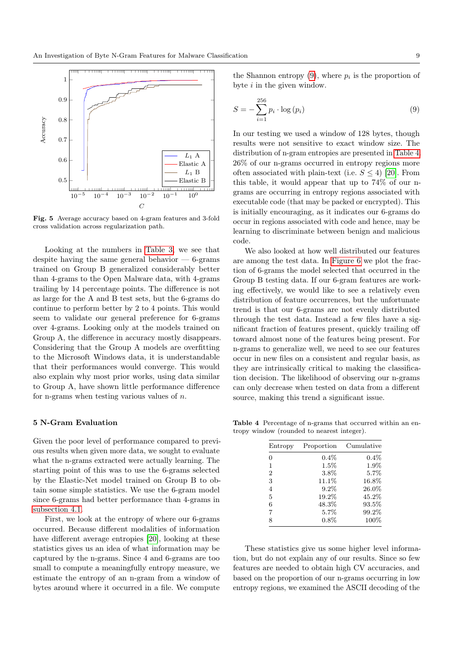

<span id="page-8-1"></span>Fig. 5 Average accuracy based on 4-gram features and 3-fold cross validation across regularization path.

Looking at the numbers in [Table 3,](#page-6-0) we see that despite having the same general behavior  $-6$ -grams trained on Group B generalized considerably better than 4-grams to the Open Malware data, with 4-grams trailing by 14 percentage points. The difference is not as large for the A and B test sets, but the 6-grams do continue to perform better by 2 to 4 points. This would seem to validate our general preference for 6-grams over 4-grams. Looking only at the models trained on Group A, the difference in accuracy mostly disappears. Considering that the Group A models are overfitting to the Microsoft Windows data, it is understandable that their performances would converge. This would also explain why most prior works, using data similar to Group A, have shown little performance difference for n-grams when testing various values of  $n$ .

#### <span id="page-8-0"></span>5 N-Gram Evaluation

Given the poor level of performance compared to previous results when given more data, we sought to evaluate what the n-grams extracted were actually learning. The starting point of this was to use the 6-grams selected by the Elastic-Net model trained on Group B to obtain some simple statistics. We use the 6-gram model since 6-grams had better performance than 4-grams in [subsection 4.1.](#page-5-0)

First, we look at the entropy of where our 6-grams occurred. Because different modalities of information have different average entropies [\[20\]](#page-14-29), looking at these statistics gives us an idea of what information may be captured by the n-grams. Since 4 and 6-grams are too small to compute a meaningfully entropy measure, we estimate the entropy of an n-gram from a window of bytes around where it occurred in a file. We compute

<span id="page-8-2"></span>the Shannon entropy  $(9)$ , where  $p_i$  is the proportion of byte  $i$  in the given window.

$$
S = -\sum_{i=1}^{256} p_i \cdot \log(p_i)
$$
 (9)

In our testing we used a window of 128 bytes, though results were not sensitive to exact window size. The distribution of n-gram entropies are presented in [Table 4.](#page-8-3) 26% of our n-grams occurred in entropy regions more often associated with plain-text (i.e.  $S \leq 4$ ) [\[20\]](#page-14-29). From this table, it would appear that up to 74% of our ngrams are occurring in entropy regions associated with executable code (that may be packed or encrypted). This is initially encouraging, as it indicates our 6-grams do occur in regions associated with code and hence, may be learning to discriminate between benign and malicious code.

We also looked at how well distributed our features are among the test data. In [Figure 6](#page-9-1) we plot the fraction of 6-grams the model selected that occurred in the Group B testing data. If our 6-gram features are working effectively, we would like to see a relatively even distribution of feature occurrences, but the unfortunate trend is that our 6-grams are not evenly distributed through the test data. Instead a few files have a significant fraction of features present, quickly trailing off toward almost none of the features being present. For n-grams to generalize well, we need to see our features occur in new files on a consistent and regular basis, as they are intrinsically critical to making the classification decision. The likelihood of observing our n-grams can only decrease when tested on data from a different source, making this trend a significant issue.

Table 4 Percentage of n-grams that occurred within an entropy window (rounded to nearest integer).

<span id="page-8-3"></span>

| Entropy        | Proportion | Cumulative |
|----------------|------------|------------|
| 0              | $0.4\%$    | $0.4\%$    |
| 1              | $1.5\%$    | $1.9\%$    |
| $\overline{2}$ | 3.8%       | 5.7%       |
| 3              | 11.1%      | 16.8%      |
| 4              | $9.2\%$    | 26.0%      |
| 5              | 19.2%      | 45.2%      |
| 6              | 48.3%      | 93.5%      |
| $\overline{7}$ | 5.7%       | 99.2%      |
| 8              | 0.8%       | 100%       |

These statistics give us some higher level information, but do not explain any of our results. Since so few features are needed to obtain high CV accuracies, and based on the proportion of our n-grams occurring in low entropy regions, we examined the ASCII decoding of the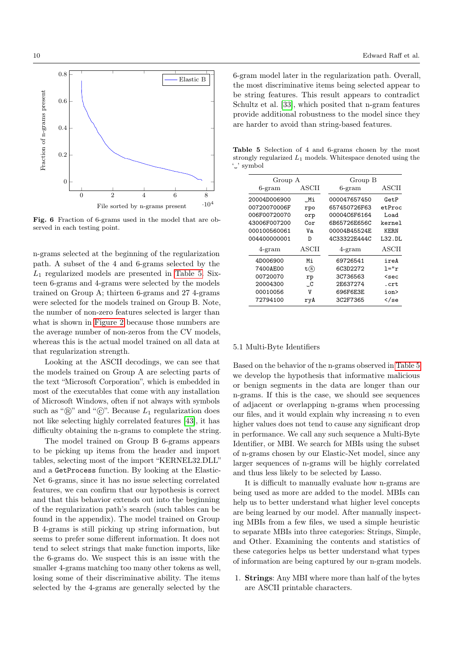

<span id="page-9-1"></span>Fig. 6 Fraction of 6-grams used in the model that are observed in each testing point.

n-grams selected at the beginning of the regularization path. A subset of the 4 and 6-grams selected by the  $L_1$  regularized models are presented in [Table 5.](#page-9-2) Sixteen 6-grams and 4-grams were selected by the models trained on Group A; thirteen 6-grams and 27 4-grams were selected for the models trained on Group B. Note, the number of non-zero features selected is larger than what is shown in [Figure 2](#page-6-1) because those numbers are the average number of non-zeros from the CV models, whereas this is the actual model trained on all data at that regularization strength.

Looking at the ASCII decodings, we can see that the models trained on Group A are selecting parts of the text "Microsoft Corporation", which is embedded in most of the executables that come with any installation of Microsoft Windows, often if not always with symbols such as " $\mathbb{R}$ " and " $\mathbb{C}$ ". Because  $L_1$  regularization does not like selecting highly correlated features [\[43\]](#page-14-25), it has difficulty obtaining the n-grams to complete the string.

The model trained on Group B 6-grams appears to be picking up items from the header and import tables, selecting most of the import "KERNEL32.DLL" and a GetProcess function. By looking at the Elastic-Net 6-grams, since it has no issue selecting correlated features, we can confirm that our hypothesis is correct and that this behavior extends out into the beginning of the regularization path's search (such tables can be found in the appendix). The model trained on Group B 4-grams is still picking up string information, but seems to prefer some different information. It does not tend to select strings that make function imports, like the 6-grams do. We suspect this is an issue with the smaller 4-grams matching too many other tokens as well, losing some of their discriminative ability. The items selected by the 4-grams are generally selected by the

6-gram model later in the regularization path. Overall, the most discriminative items being selected appear to be string features. This result appears to contradict Schultz et al. [\[33\]](#page-14-5), which posited that n-gram features provide additional robustness to the model since they are harder to avoid than string-based features.

<span id="page-9-2"></span>Table 5 Selection of 4 and 6-grams chosen by the most strongly regularized  $L_1$  models. Whitespace denoted using the '␣' symbol

| Group A      |                          | Group B      |             |
|--------------|--------------------------|--------------|-------------|
| 6-gram       | ASCII                    | $6$ -gram    | ASCII       |
| 20004D006900 | Mi                       | 000047657450 | GetP        |
| 00720070006F | rpo                      | 657450726F63 | etProc      |
| 006F00720070 | orp                      | 00004C6F6164 | Load        |
| 43006F007200 | Cor                      | 6B65726E656C | kernel      |
| 000100560061 | Vа                       | 00004B45524E | <b>KERN</b> |
| 004400000001 | D                        | 4C33322E444C | L32.DL      |
| 4-gram       | ASCII                    | 4-gram       | ASCII       |
| 4D006900     | Мi                       | 69726541     | ireA        |
| 7400AE00     | $\mathtt{t}(\mathtt{R})$ | 6C3D2272     | $1 = "r$    |
| 00720070     | rp                       | 3C736563     | $<$ sec     |
| 20004300     | . C                      | 2E637274     | .crt        |
| 00010056     | V                        | 696F6E3E     | ion>        |
| 72794100     | ryA                      | 3C2F7365     |             |

### <span id="page-9-0"></span>5.1 Multi-Byte Identifiers

Based on the behavior of the n-grams observed in [Table 5](#page-9-2) we develop the hypothesis that informative malicious or benign segments in the data are longer than our n-grams. If this is the case, we should see sequences of adjacent or overlapping n-grams when processing our files, and it would explain why increasing  $n$  to even higher values does not tend to cause any significant drop in performance. We call any such sequence a Multi-Byte Identifier, or MBI. We search for MBIs using the subset of n-grams chosen by our Elastic-Net model, since any larger sequences of n-grams will be highly correlated and thus less likely to be selected by Lasso.

It is difficult to manually evaluate how n-grams are being used as more are added to the model. MBIs can help us to better understand what higher level concepts are being learned by our model. After manually inspecting MBIs from a few files, we used a simple heuristic to separate MBIs into three categories: Strings, Simple, and Other. Examining the contents and statistics of these categories helps us better understand what types of information are being captured by our n-gram models.

1. Strings: Any MBI where more than half of the bytes are ASCII printable characters.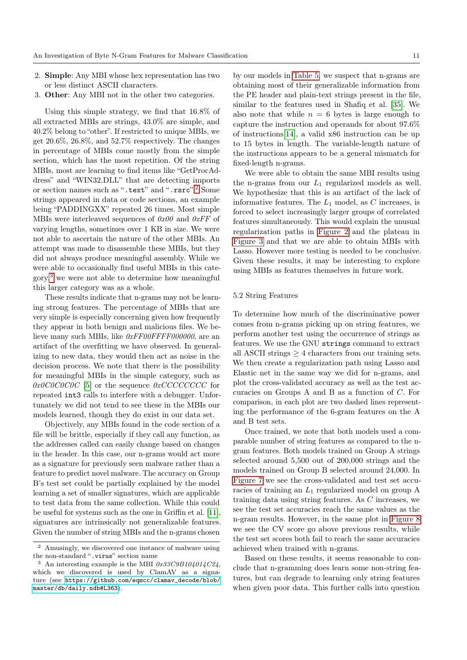- 2. Simple: Any MBI whose hex representation has two or less distinct ASCII characters.
- 3. Other: Any MBI not in the other two categories.

Using this simple strategy, we find that 16.8% of all extracted MBIs are strings, 43.0% are simple, and 40.2% belong to "other". If restricted to unique MBIs, we get 20.6%, 26.8%, and 52.7% respectively. The changes in percentage of MBIs come mostly from the simple section, which has the most repetition. Of the string MBIs, most are learning to find items like "GetProcAddress" and "WIN32.DLL" that are detecting imports or section names such as ".text" and ".rsrc".[2](#page-10-1) Some strings appeared in data or code sections, an example being "PADDINGXX" repeated 26 times. Most simple MBIs were interleaved sequences of  $0x00$  and  $0xFF$  of varying lengths, sometimes over 1 KB in size. We were not able to ascertain the nature of the other MBIs. An attempt was made to disassemble these MBIs, but they did not always produce meaningful assembly. While we were able to occasionally find useful MBIs in this category, $3$  we were not able to determine how meaningful this larger category was as a whole.

These results indicate that n-grams may not be learning strong features. The percentage of MBIs that are very simple is especially concerning given how frequently they appear in both benign and malicious files. We believe many such MBIs, like  $0xFF00FFFF000000$ , are an artifact of the overfitting we have observed. In generalizing to new data, they would then act as noise in the decision process. We note that there is the possibility for meaningful MBIs in the simple category, such as  $0x0C0C0C0C$  [\[5\]](#page-13-7) or the sequence  $0xCCCCCCCC$  for repeated int3 calls to interfere with a debugger. Unfortunately we did not tend to see these in the MBIs our models learned, though they do exist in our data set.

Objectively, any MBIs found in the code section of a file will be brittle, especially if they call any function, as the addresses called can easily change based on changes in the header. In this case, our n-grams would act more as a signature for previously seen malware rather than a feature to predict novel malware. The accuracy on Group B's test set could be partially explained by the model learning a set of smaller signatures, which are applicable to test data from the same collection. While this could be useful for systems such as the one in Griffin et al. [\[11\]](#page-13-8), signatures are intrinsically not generalizable features. Given the number of string MBIs and the n-grams chosen

by our models in [Table 5,](#page-9-2) we suspect that n-grams are obtaining most of their generalizable information from the PE header and plain-text strings present in the file, similar to the features used in Shafiq et al. [\[35\]](#page-14-2). We also note that while  $n = 6$  bytes is large enough to capture the instruction and operands for about 97.6% of instructions[\[14\]](#page-14-30), a valid x86 instruction can be up to 15 bytes in length. The variable-length nature of the instructions appears to be a general mismatch for fixed-length n-grams.

We were able to obtain the same MBI results using the n-grams from our  $L_1$  regularized models as well. We hypothesize that this is an artifact of the lack of informative features. The  $L_1$  model, as C increases, is forced to select increasingly larger groups of correlated features simultaneously. This would explain the unusual regularization paths in [Figure 2](#page-6-1) and the plateau in [Figure 3](#page-6-2) and that we are able to obtain MBIs with Lasso. However more testing is needed to be conclusive. Given these results, it may be interesting to explore using MBIs as features themselves in future work.

## <span id="page-10-0"></span>5.2 String Features

To determine how much of the discriminative power comes from n-grams picking up on string features, we perform another test using the occurrence of strings as features. We use the GNU strings command to extract all ASCII strings ≥ 4 characters from our training sets. We then create a regularization path using Lasso and Elastic net in the same way we did for n-grams, and plot the cross-validated accuracy as well as the test accuracies on Groups A and B as a function of C. For comparison, in each plot are two dashed lines representing the performance of the 6-gram features on the A and B test sets.

Once trained, we note that both models used a comparable number of string features as compared to the ngram features. Both models trained on Group A strings selected around 5,500 out of 200,000 strings and the models trained on Group B selected around 24,000. In [Figure 7](#page-11-1) we see the cross-validated and test set accuracies of training an  $L_1$  regularized model on group A training data using string features. As C increases, we see the test set accuracies reach the same values as the n-gram results. However, in the same plot in [Figure 8](#page-11-2) we see the CV score go above previous results, while the test set scores both fail to reach the same accuracies achieved when trained with n-grams.

Based on these results, it seems reasonable to conclude that n-gramming does learn some non-string features, but can degrade to learning only string features when given poor data. This further calls into question

<span id="page-10-1"></span><sup>2</sup> Amusingly, we discovered one instance of malware using the non-standard ".virus" section name

<span id="page-10-2"></span><sup>&</sup>lt;sup>3</sup> An interesting example is the MBI  $0x33C9B104014C24$ , which we discovered is used by ClamAV as a signature (see [https://github.com/eqmcc/clamav\\_decode/blob/](https://github.com/eqmcc/clamav_decode/blob/master/db/daily.ndb#L363) [master/db/daily.ndb#L363](https://github.com/eqmcc/clamav_decode/blob/master/db/daily.ndb#L363)).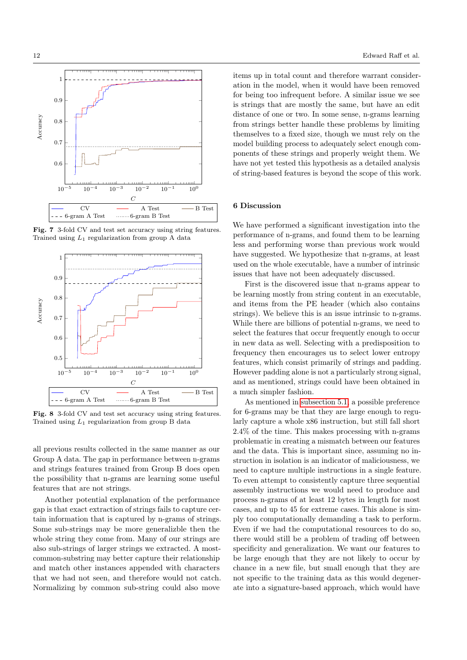

<span id="page-11-1"></span>Fig. 7 3-fold CV and test set accuracy using string features. Trained using  $L_1$  regularization from group A data



<span id="page-11-2"></span>Fig. 8 3-fold CV and test set accuracy using string features. Trained using  $L_1$  regularization from group B data

all previous results collected in the same manner as our Group A data. The gap in performance between n-grams and strings features trained from Group B does open the possibility that n-grams are learning some useful features that are not strings.

Another potential explanation of the performance gap is that exact extraction of strings fails to capture certain information that is captured by n-grams of strings. Some sub-strings may be more generalizble then the whole string they come from. Many of our strings are also sub-strings of larger strings we extracted. A mostcommon-substring may better capture their relationship and match other instances appended with characters that we had not seen, and therefore would not catch. Normalizing by common sub-string could also move

items up in total count and therefore warrant consideration in the model, when it would have been removed for being too infrequent before. A similar issue we see is strings that are mostly the same, but have an edit distance of one or two. In some sense, n-grams learning from strings better handle these problems by limiting themselves to a fixed size, though we must rely on the model building process to adequately select enough components of these strings and properly weight them. We have not yet tested this hypothesis as a detailed analysis of string-based features is beyond the scope of this work.

#### <span id="page-11-0"></span>6 Discussion

We have performed a significant investigation into the performance of n-grams, and found them to be learning less and performing worse than previous work would have suggested. We hypothesize that n-grams, at least used on the whole executable, have a number of intrinsic issues that have not been adequately discussed.

First is the discovered issue that n-grams appear to be learning mostly from string content in an executable, and items from the PE header (which also contains strings). We believe this is an issue intrinsic to n-grams. While there are billions of potential n-grams, we need to select the features that occur frequently enough to occur in new data as well. Selecting with a predisposition to frequency then encourages us to select lower entropy features, which consist primarily of strings and padding. However padding alone is not a particularly strong signal, and as mentioned, strings could have been obtained in a much simpler fashion.

As mentioned in [subsection 5.1,](#page-9-0) a possible preference for 6-grams may be that they are large enough to regularly capture a whole x86 instruction, but still fall short 2.4% of the time. This makes processing with n-grams problematic in creating a mismatch between our features and the data. This is important since, assuming no instruction in isolation is an indicator of maliciousness, we need to capture multiple instructions in a single feature. To even attempt to consistently capture three sequential assembly instructions we would need to produce and process n-grams of at least 12 bytes in length for most cases, and up to 45 for extreme cases. This alone is simply too computationally demanding a task to perform. Even if we had the computational resources to do so, there would still be a problem of trading off between specificity and generalization. We want our features to be large enough that they are not likely to occur by chance in a new file, but small enough that they are not specific to the training data as this would degenerate into a signature-based approach, which would have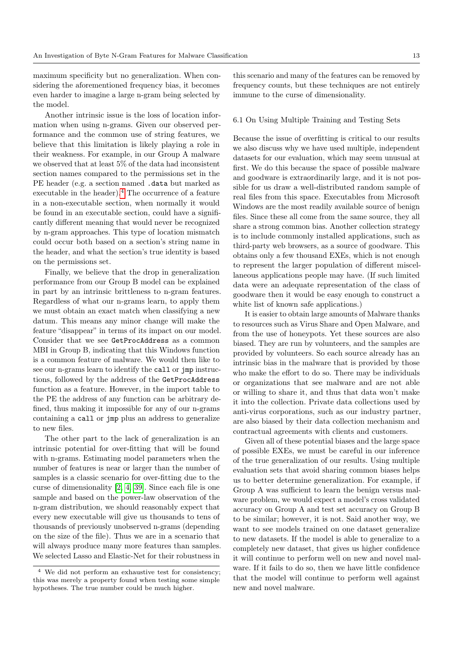maximum specificity but no generalization. When considering the aforementioned frequency bias, it becomes even harder to imagine a large n-gram being selected by the model.

Another intrinsic issue is the loss of location information when using n-grams. Given our observed performance and the common use of string features, we believe that this limitation is likely playing a role in their weakness. For example, in our Group A malware we observed that at least 5% of the data had inconsistent section names compared to the permissions set in the PE header (e.g. a section named .data but marked as executable in the header).[4](#page-12-1) The occurrence of a feature in a non-executable section, when normally it would be found in an executable section, could have a significantly different meaning that would never be recognized by n-gram approaches. This type of location mismatch could occur both based on a section's string name in the header, and what the section's true identity is based on the permissions set.

Finally, we believe that the drop in generalization performance from our Group B model can be explained in part by an intrinsic brittleness to n-gram features. Regardless of what our n-grams learn, to apply them we must obtain an exact match when classifying a new datum. This means any minor change will make the feature "disappear" in terms of its impact on our model. Consider that we see GetProcAddress as a common MBI in Group B, indicating that this Windows function is a common feature of malware. We would then like to see our n-grams learn to identify the call or jmp instructions, followed by the address of the GetProcAddress function as a feature. However, in the import table to the PE the address of any function can be arbitrary defined, thus making it impossible for any of our n-grams containing a call or jmp plus an address to generalize to new files.

The other part to the lack of generalization is an intrinsic potential for over-fitting that will be found with n-grams. Estimating model parameters when the number of features is near or larger than the number of samples is a classic scenario for over-fitting due to the curse of dimensionality [\[2,](#page-13-9) [4,](#page-13-10) [39\]](#page-14-31). Since each file is one sample and based on the power-law observation of the n-gram distribution, we should reasonably expect that every new executable will give us thousands to tens of thousands of previously unobserved n-grams (depending on the size of the file). Thus we are in a scenario that will always produce many more features than samples. We selected Lasso and Elastic-Net for their robustness in

this scenario and many of the features can be removed by frequency counts, but these techniques are not entirely immune to the curse of dimensionality.

#### <span id="page-12-0"></span>6.1 On Using Multiple Training and Testing Sets

Because the issue of overfitting is critical to our results we also discuss why we have used multiple, independent datasets for our evaluation, which may seem unusual at first. We do this because the space of possible malware and goodware is extraordinarily large, and it is not possible for us draw a well-distributed random sample of real files from this space. Executables from Microsoft Windows are the most readily available source of benign files. Since these all come from the same source, they all share a strong common bias. Another collection strategy is to include commonly installed applications, such as third-party web browsers, as a source of goodware. This obtains only a few thousand EXEs, which is not enough to represent the larger population of different miscellaneous applications people may have. (If such limited data were an adequate representation of the class of goodware then it would be easy enough to construct a white list of known safe applications.)

It is easier to obtain large amounts of Malware thanks to resources such as Virus Share and Open Malware, and from the use of honeypots. Yet these sources are also biased. They are run by volunteers, and the samples are provided by volunteers. So each source already has an intrinsic bias in the malware that is provided by those who make the effort to do so. There may be individuals or organizations that see malware and are not able or willing to share it, and thus that data won't make it into the collection. Private data collections used by anti-virus corporations, such as our industry partner, are also biased by their data collection mechanism and contractual agreements with clients and customers.

Given all of these potential biases and the large space of possible EXEs, we must be careful in our inference of the true generalization of our results. Using multiple evaluation sets that avoid sharing common biases helps us to better determine generalization. For example, if Group A was sufficient to learn the benign versus malware problem, we would expect a model's cross validated accuracy on Group A and test set accuracy on Group B to be similar; however, it is not. Said another way, we want to see models trained on one dataset generalize to new datasets. If the model is able to generalize to a completely new dataset, that gives us higher confidence it will continue to perform well on new and novel malware. If it fails to do so, then we have little confidence that the model will continue to perform well against new and novel malware.

<span id="page-12-1"></span>We did not perform an exhaustive test for consistency; this was merely a property found when testing some simple hypotheses. The true number could be much higher.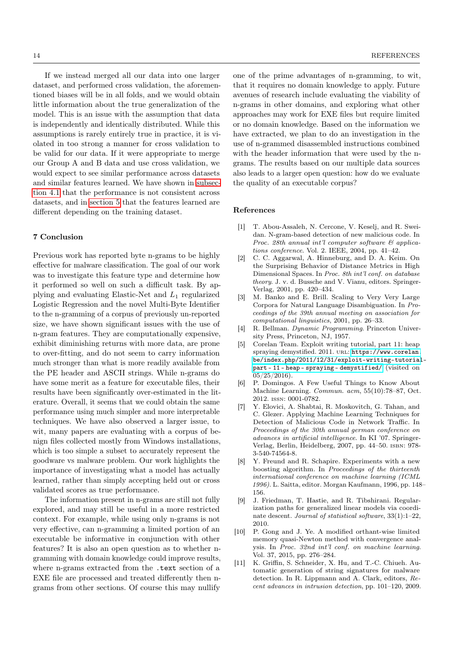If we instead merged all our data into one larger dataset, and performed cross validation, the aforementioned biases will be in all folds, and we would obtain little information about the true generalization of the model. This is an issue with the assumption that data is independently and identically distributed. While this assumptions is rarely entirely true in practice, it is violated in too strong a manner for cross validation to be valid for our data. If it were appropriate to merge our Group A and B data and use cross validation, we would expect to see similar performance across datasets and similar features learned. We have shown in [subsec](#page-5-0)[tion 4.1](#page-5-0) that the performance is not consistent across datasets, and in [section 5](#page-8-0) that the features learned are different depending on the training dataset.

### 7 Conclusion

Previous work has reported byte n-grams to be highly effective for malware classification. The goal of our work was to investigate this feature type and determine how it performed so well on such a difficult task. By applying and evaluating Elastic-Net and  $L_1$  regularized Logistic Regression and the novel Multi-Byte Identifier to the n-gramming of a corpus of previously un-reported size, we have shown significant issues with the use of n-gram features. They are computationally expensive, exhibit diminishing returns with more data, are prone to over-fitting, and do not seem to carry information much stronger than what is more readily available from the PE header and ASCII strings. While n-grams do have some merit as a feature for executable files, their results have been significantly over-estimated in the literature. Overall, it seems that we could obtain the same performance using much simpler and more interpretable techniques. We have also observed a larger issue, to wit, many papers are evaluating with a corpus of benign files collected mostly from Windows installations, which is too simple a subset to accurately represent the goodware vs malware problem. Our work highlights the importance of investigating what a model has actually learned, rather than simply accepting held out or cross validated scores as true performance.

The information present in n-grams are still not fully explored, and may still be useful in a more restricted context. For example, while using only n-grams is not very effective, can n-gramming a limited portion of an executable be informative in conjunction with other features? It is also an open question as to whether ngramming with domain knowledge could improve results, where n-grams extracted from the .text section of a EXE file are processed and treated differently then ngrams from other sections. Of course this may nullify

one of the prime advantages of n-gramming, to wit, that it requires no domain knowledge to apply. Future avenues of research include evaluating the viability of n-grams in other domains, and exploring what other approaches may work for EXE files but require limited or no domain knowledge. Based on the information we have extracted, we plan to do an investigation in the use of n-grammed disassembled instructions combined with the header information that were used by the ngrams. The results based on our multiple data sources also leads to a larger open question: how do we evaluate the quality of an executable corpus?

### References

- <span id="page-13-0"></span>[1] T. Abou-Assaleh, N. Cercone, V. Keselj, and R. Sweidan. N-gram-based detection of new malicious code. In Proc. 28th annual int'l computer software & applications conference. Vol. 2. IEEE, 2004, pp. 41–42.
- <span id="page-13-9"></span>[2] C. C. Aggarwal, A. Hinneburg, and D. A. Keim. On the Surprising Behavior of Distance Metrics in High Dimensional Spaces. In Proc. 8th int'l conf. on database theory. J. v. d. Bussche and V. Vianu, editors. Springer-Verlag, 2001, pp. 420–434.
- <span id="page-13-3"></span>[3] M. Banko and E. Brill. Scaling to Very Very Large Corpora for Natural Language Disambiguation. In Proceedings of the 39th annual meeting on association for computational linguistics, 2001, pp. 26–33.
- <span id="page-13-10"></span>[4] R. Bellman. Dynamic Programming. Princeton University Press, Princeton, NJ, 1957.
- <span id="page-13-7"></span>[5] Corelan Team. Exploit writing tutorial, part 11: heap spraying demystified. 2011. URL: [https://www.corelan.](https://www.corelan.be/index.php/2011/12/31/exploit-writing-tutorial-part-11-heap-spraying-demystified/) [be/index.php/2011/12/31/exploit-writing-tutorial](https://www.corelan.be/index.php/2011/12/31/exploit-writing-tutorial-part-11-heap-spraying-demystified/)[part - 11 - heap - spraying - demystified/](https://www.corelan.be/index.php/2011/12/31/exploit-writing-tutorial-part-11-heap-spraying-demystified/) (visited on  $05/25/2016$ ).
- <span id="page-13-4"></span>[6] P. Domingos. A Few Useful Things to Know About Machine Learning. Commun. acm, 55(10):78–87, Oct. 2012. issn: 0001-0782.
- <span id="page-13-2"></span>[7] Y. Elovici, A. Shabtai, R. Moskovitch, G. Tahan, and C. Glezer. Applying Machine Learning Techniques for Detection of Malicious Code in Network Traffic. In Proceedings of the 30th annual german conference on advances in artificial intelligence. In KI '07. Springer-Verlag, Berlin, Heidelberg, 2007, pp. 44–50. isbn: 978- 3-540-74564-8.
- <span id="page-13-1"></span>[8] Y. Freund and R. Schapire. Experiments with a new boosting algorithm. In Proceedings of the thirteenth international conference on machine learning (ICML 1996). L. Saitta, editor. Morgan Kaufmann, 1996, pp. 148– 156.
- <span id="page-13-5"></span>[9] J. Friedman, T. Hastie, and R. Tibshirani. Regularization paths for generalized linear models via coordinate descent. Journal of statistical software, 33(1):1–22, 2010.
- <span id="page-13-6"></span>[10] P. Gong and J. Ye. A modified orthant-wise limited memory quasi-Newton method with convergence analysis. In Proc. 32nd int'l conf. on machine learning. Vol. 37, 2015, pp. 276–284.
- <span id="page-13-8"></span>[11] K. Griffin, S. Schneider, X. Hu, and T.-C. Chiueh. Automatic generation of string signatures for malware detection. In R. Lippmann and A. Clark, editors, Recent advances in intrusion detection, pp. 101–120, 2009.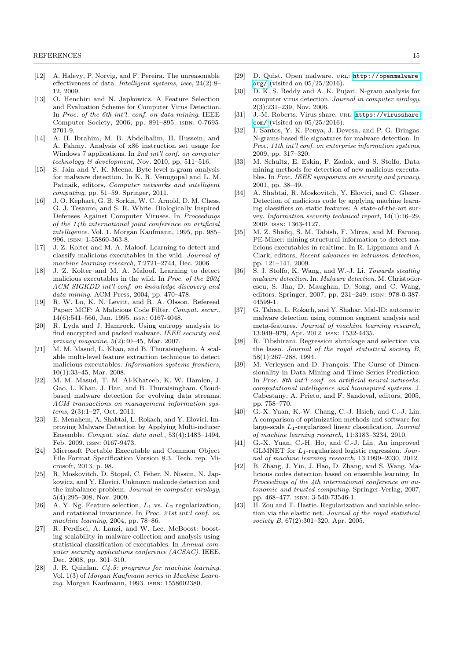- <span id="page-14-23"></span>[12] A. Halevy, P. Norvig, and F. Pereira. The unreasonable effectiveness of data. Intelligent systems, ieee, 24(2):8– 12, 2009.
- <span id="page-14-11"></span>[13] O. Henchiri and N. Japkowicz. A Feature Selection and Evaluation Scheme for Computer Virus Detection. In Proc. of the 6th int'l. conf. on data mining. IEEE Computer Society, 2006, pp. 891–895. isbn: 0-7695- 2701-9.
- <span id="page-14-30"></span>[14] A. H. Ibrahim, M. B. Abdelhalim, H. Hussein, and A. Fahmy. Analysis of x86 instruction set usage for Windows 7 applications. In 2nd int'l conf. on computer technology & development, Nov. 2010, pp. 511–516.
- <span id="page-14-9"></span>[15] S. Jain and Y. K. Meena. Byte level n-gram analysis for malware detection. In K. R. Venugopal and L. M. Patnaik, editors, *Computer networks and intelligent* computing, pp. 51–59. Springer, 2011.
- <span id="page-14-4"></span>[16] J. O. Kephart, G. B. Sorkin, W. C. Arnold, D. M. Chess, G. J. Tesauro, and S. R. White. Biologically Inspired Defenses Against Computer Viruses. In Proceedings of the 14th international joint conference on artificial intelligence. Vol. 1. Morgan Kaufmann, 1995, pp. 985– 996. isbn: 1-55860-363-8.
- <span id="page-14-6"></span>[17] J. Z. Kolter and M. A. Maloof. Learning to detect and classify malicious executables in the wild. Journal of machine learning research, 7:2721–2744, Dec. 2006.
- <span id="page-14-7"></span>[18] J. Z. Kolter and M. A. Maloof. Learning to detect malicious executables in the wild. In Proc. of the 2004 ACM SIGKDD int'l conf. on knowledge discovery and data mining. ACM Press, 2004, pp. 470–478.
- <span id="page-14-3"></span>[19] R. W. Lo, K. N. Levitt, and R. A. Olsson. Refereed Paper: MCF: A Malicious Code Filter. Comput. secur., 14(6):541–566, Jan. 1995. issn: 0167-4048.
- <span id="page-14-29"></span>[20] R. Lyda and J. Hamrock. Using entropy analysis to find encrypted and packed malware. IEEE security and privacy magazine, 5(2):40–45, Mar. 2007.
- <span id="page-14-13"></span>[21] M. M. Masud, L. Khan, and B. Thuraisingham. A scalable multi-level feature extraction technique to detect malicious executables. Information systems frontiers, 10(1):33–45, Mar. 2008.
- <span id="page-14-15"></span>[22] M. M. Masud, T. M. Al-Khateeb, K. W. Hamlen, J. Gao, L. Khan, J. Han, and B. Thuraisingham. Cloudbased malware detection for evolving data streams. ACM transactions on management information systems, 2(3):1–27, Oct. 2011.
- <span id="page-14-12"></span>[23] E. Menahem, A. Shabtai, L. Rokach, and Y. Elovici. Improving Malware Detection by Applying Multi-inducer Ensemble. Comput. stat. data anal., 53(4):1483–1494, Feb. 2009. issn: 0167-9473.
- <span id="page-14-1"></span>[24] Microsoft Portable Executable and Common Object File Format Specification Version 8.3. Tech. rep. Microsoft, 2013, p. 98.
- <span id="page-14-14"></span>[25] R. Moskovitch, D. Stopel, C. Feher, N. Nissim, N. Japkowicz, and Y. Elovici. Unknown malcode detection and the imbalance problem. Journal in computer virology, 5(4):295–308, Nov. 2009.
- <span id="page-14-26"></span>[26] A. Y. Ng. Feature selection,  $L_1$  vs.  $L_2$  regularization, and rotational invariance. In Proc. 21st int'l conf. on machine learning, 2004, pp. 78–86.
- <span id="page-14-16"></span>[27] R. Perdisci, A. Lanzi, and W. Lee. McBoost: boosting scalability in malware collection and analysis using statistical classification of executables. In Annual computer security applications conference (ACSAC). IEEE, Dec. 2008, pp. 301–310.
- <span id="page-14-8"></span>[28] J. R. Quinlan. C4.5: programs for machine learning. Vol. 1(3) of Morgan Kaufmann series in Machine Learning. Morgan Kaufmann, 1993. ISBN: 1558602380.
- <span id="page-14-21"></span>[29] D. Quist. Open malware. URL: [http://openmalware.](http://openmalware.org/) [org/](http://openmalware.org/) (visited on 05/25/2016).
- <span id="page-14-10"></span>[30] D. K. S. Reddy and A. K. Pujari. N-gram analysis for computer virus detection. Journal in computer virology, 2(3):231–239, Nov. 2006.
- <span id="page-14-20"></span>[31] J.-M. Roberts. Virus share. URL: [https://virusshare.](https://virusshare.com/) [com/](https://virusshare.com/) (visited on 05/25/2016).
- <span id="page-14-22"></span>[32] I. Santos, Y. K. Penya, J. Devesa, and P. G. Bringas. N-grams-based file signatures for malware detection. In Proc. 11th int'l conf. on enterprise information systems, 2009, pp. 317–320.
- <span id="page-14-5"></span>[33] M. Schultz, E. Eskin, F. Zadok, and S. Stolfo. Data mining methods for detection of new malicious executables. In Proc. IEEE symposium on security and privacy, 2001, pp. 38–49.
- <span id="page-14-0"></span>[34] A. Shabtai, R. Moskovitch, Y. Elovici, and C. Glezer. Detection of malicious code by applying machine learning classifiers on static features: A state-of-the-art survey. Information security technical report, 14(1):16–29, 2009. issn: 1363-4127.
- <span id="page-14-2"></span>[35] M. Z. Shafiq, S. M. Tabish, F. Mirza, and M. Farooq. PE-Miner: mining structural information to detect malicious executables in realtime. In R. Lippmann and A. Clark, editors, Recent advances in intrusion detection, pp. 121–141, 2009.
- <span id="page-14-19"></span>[36] S. J. Stolfo, K. Wang, and W.-J. Li. Towards stealthy malware detection. In. Malware detection. M. Christodorescu, S. Jha, D. Maughan, D. Song, and C. Wang, editors. Springer, 2007, pp. 231–249. isbn: 978-0-387- 44599-1.
- <span id="page-14-17"></span>[37] G. Tahan, L. Rokach, and Y. Shahar. Mal-ID: automatic malware detection using common segment analysis and meta-features. Journal of machine learning research, 13:949–979, Apr. 2012. issn: 1532-4435.
- <span id="page-14-24"></span>[38] R. Tibshirani. Regression shrinkage and selection via the lasso. Journal of the royal statistical society B, 58(1):267–288, 1994.
- <span id="page-14-31"></span>[39] M. Verleysen and D. François. The Curse of Dimensionality in Data Mining and Time Series Prediction. In Proc. 8th int'l conf. on artificial neural networks: computational intelligence and bioinspired systems. J. Cabestany, A. Prieto, and F. Sandoval, editors, 2005, pp. 758–770.
- <span id="page-14-27"></span>[40] G.-X. Yuan, K.-W. Chang, C.-J. Hsieh, and C.-J. Lin. A comparison of optimization methods and software for large-scale  $L_1$ -regularized linear classification. Journal of machine learning research, 11:3183–3234, 2010.
- <span id="page-14-28"></span>[41] G.-X. Yuan, C.-H. Ho, and C.-J. Lin. An improved GLMNET for  $L_1$ -regularized logistic regression. Journal of machine learning research, 13:1999–2030, 2012.
- <span id="page-14-18"></span>[42] B. Zhang, J. Yin, J. Hao, D. Zhang, and S. Wang. Malicious codes detection based on ensemble learning. In Proceedings of the 4th international conference on autonomic and trusted computing. Springer-Verlag, 2007, pp. 468–477. isbn: 3-540-73546-1.
- <span id="page-14-25"></span>[43] H. Zou and T. Hastie. Regularization and variable selection via the elastic net. Journal of the royal statistical society B, 67(2):301-320, Apr. 2005.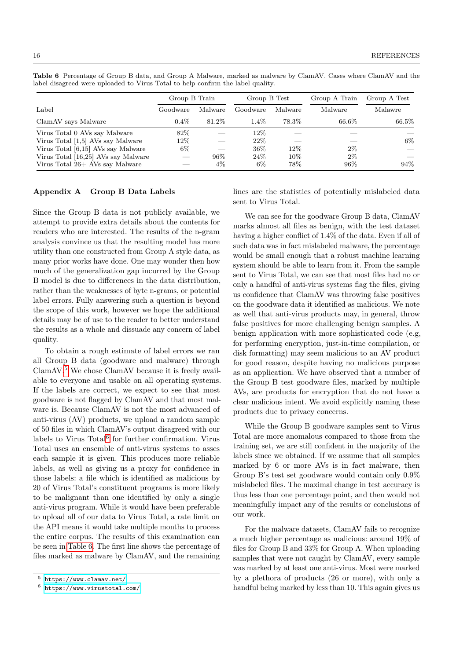|                                                                                                              | Group B Train  |                    | Group B Test         |                   | Group A Train         | Group A Test |
|--------------------------------------------------------------------------------------------------------------|----------------|--------------------|----------------------|-------------------|-----------------------|--------------|
| Label                                                                                                        | Goodware       | Malware            | Goodware             | Malware           | Malware               | Malawre      |
| ClamAV says Malware                                                                                          | $0.4\%$        | 81.2\%             | $1.4\%$              | 78.3%             | 66.6%                 | 66.5%        |
| Virus Total 0 AVs say Malware<br>Virus Total [1,5] AVs say Malware                                           | 82\%<br>$12\%$ |                    | 12\%<br>22%          |                   |                       | $6\%$        |
| Virus Total [6,15] AVs say Malware<br>Virus Total [16,25] AVs say Malware<br>Virus Total 26+ AVs say Malware | 6%             | __<br>96%<br>$4\%$ | 36%<br>24\%<br>$6\%$ | 12%<br>10%<br>78% | $2\%$<br>$2\%$<br>96% | 94%          |

<span id="page-15-2"></span>Table 6 Percentage of Group B data, and Group A Malware, marked as malware by ClamAV. Cases where ClamAV and the label disagreed were uploaded to Virus Total to help confirm the label quality.

# Appendix A Group B Data Labels

Since the Group B data is not publicly available, we attempt to provide extra details about the contents for readers who are interested. The results of the n-gram analysis convince us that the resulting model has more utility than one constructed from Group A style data, as many prior works have done. One may wonder then how much of the generalization gap incurred by the Group B model is due to differences in the data distribution, rather than the weaknesses of byte n-grams, or potential label errors. Fully answering such a question is beyond the scope of this work, however we hope the additional details may be of use to the reader to better understand the results as a whole and dissuade any concern of label quality.

To obtain a rough estimate of label errors we ran all Group B data (goodware and malware) through ClamAV.[5](#page-15-0) We chose ClamAV because it is freely available to everyone and usable on all operating systems. If the labels are correct, we expect to see that most goodware is not flagged by ClamAV and that most malware is. Because ClamAV is not the most advanced of anti-virus (AV) products, we upload a random sample of 50 files in which ClamAV's output disagreed with our labels to Virus Total<sup>[6](#page-15-1)</sup> for further confirmation. Virus Total uses an ensemble of anti-virus systems to asses each sample it is given. This produces more reliable labels, as well as giving us a proxy for confidence in those labels: a file which is identified as malicious by 20 of Virus Total's constituent programs is more likely to be malignant than one identified by only a single anti-virus program. While it would have been preferable to upload all of our data to Virus Total, a rate limit on the API means it would take multiple months to process the entire corpus. The results of this examination can be seen in [Table 6.](#page-15-2) The first line shows the percentage of files marked as malware by ClamAV, and the remaining

lines are the statistics of potentially mislabeled data sent to Virus Total.

We can see for the goodware Group B data, ClamAV marks almost all files as benign, with the test dataset having a higher conflict of 1.4% of the data. Even if all of such data was in fact mislabeled malware, the percentage would be small enough that a robust machine learning system should be able to learn from it. From the sample sent to Virus Total, we can see that most files had no or only a handful of anti-virus systems flag the files, giving us confidence that ClamAV was throwing false positives on the goodware data it identified as malicious. We note as well that anti-virus products may, in general, throw false positives for more challenging benign samples. A benign application with more sophisticated code (e.g, for performing encryption, just-in-time compilation, or disk formatting) may seem malicious to an AV product for good reason, despite having no malicious purpose as an application. We have observed that a number of the Group B test goodware files, marked by multiple AVs, are products for encryption that do not have a clear malicious intent. We avoid explicitly naming these products due to privacy concerns.

While the Group B goodware samples sent to Virus Total are more anomalous compared to those from the training set, we are still confident in the majority of the labels since we obtained. If we assume that all samples marked by 6 or more AVs is in fact malware, then Group B's test set goodware would contain only 0.9% mislabeled files. The maximal change in test accuracy is thus less than one percentage point, and then would not meaningfully impact any of the results or conclusions of our work.

For the malware datasets, ClamAV fails to recognize a much higher percentage as malicious: around 19% of files for Group B and 33% for Group A. When uploading samples that were not caught by ClamAV, every sample was marked by at least one anti-virus. Most were marked by a plethora of products (26 or more), with only a handful being marked by less than 10. This again gives us

<span id="page-15-0"></span><sup>5</sup> <https://www.clamav.net/>

<span id="page-15-1"></span> $6$  <https://www.virustotal.com/>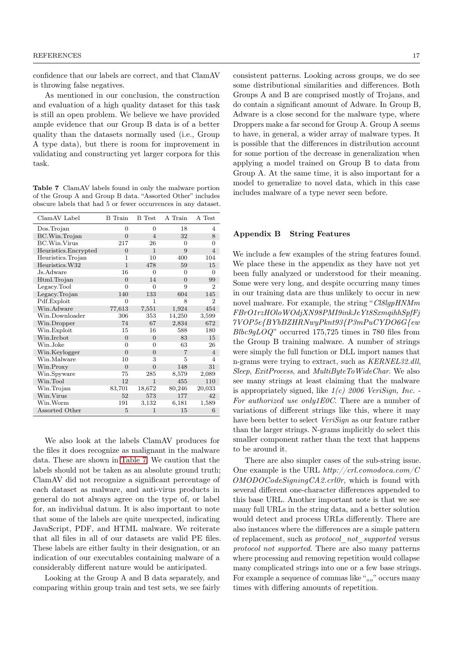confidence that our labels are correct, and that ClamAV is throwing false negatives.

As mentioned in our conclusion, the construction and evaluation of a high quality dataset for this task is still an open problem. We believe we have provided ample evidence that our Group B data is of a better quality than the datasets normally used (i.e., Group A type data), but there is room for improvement in validating and constructing yet larger corpora for this task.

<span id="page-16-0"></span>Table 7 ClamAV labels found in only the malware portion of the Group A and Group B data. "Assorted Other" includes obscure labels that had 5 or fewer occurrences in any dataset.

| ClamAV Label         | <b>B</b> Train | <b>B</b> Test  | A Train        | A Test         |
|----------------------|----------------|----------------|----------------|----------------|
| Dos.Trojan           | $\overline{0}$ | 0              | 18             | 4              |
| BC.Win.Trojan        | $\Omega$       | $\overline{4}$ | 32             | 8              |
| <b>BC.Win.Virus</b>  | 217            | 26             | $\Omega$       | 0              |
| Heuristics.Encrypted | $\overline{0}$ | $\mathbf{1}$   | 9              | $\overline{4}$ |
| Heuristics.Trojan    | 1              | 10             | 400            | 104            |
| Heuristics.W32       | $\mathbf{1}$   | 478            | 59             | 15             |
| Js.Adware            | 16             | $\Omega$       | $\Omega$       | $\overline{0}$ |
| Html.Trojan          | $\overline{0}$ | 14             | $\Omega$       | 99             |
| Legacy.Tool          | $\Omega$       | $\Omega$       | 9              | $\overline{2}$ |
| Legacy.Trojan        | 140            | 133            | 604            | 145            |
| Pdf.Exploit          | $\Omega$       | 1              | 8              | $\overline{2}$ |
| Win.Adware           | 77,613         | 7,551          | 1,924          | 454            |
| Win.Downloader       | 306            | 353            | 14,250         | 3,599          |
| Win.Dropper          | 74             | 67             | 2,834          | 672            |
| Win.Exploit          | 15             | 16             | 588            | 180            |
| Win.Ircbot           | $\overline{0}$ | $\overline{0}$ | 83             | 15             |
| Win.Joke             | $\Omega$       | $\Omega$       | 63             | 26             |
| Win.Keylogger        | $\overline{0}$ | $\overline{0}$ | $\overline{7}$ | $\overline{4}$ |
| Win.Malware          | 10             | 3              | 5              | $\overline{4}$ |
| Win.Proxy            | $\overline{0}$ | $\overline{0}$ | 148            | 31             |
| Win.Spyware          | 75             | 285            | 8,579          | 2,089          |
| Win.Tool             | 12             | $\mathbf{1}$   | 455            | 110            |
| Win.Trojan           | 83,701         | 18,672         | 80,246         | 20,033         |
| Win.Virus            | 52             | 573            | 177            | 42             |
| Win.Worm             | 191            | 3,132          | 6,181          | 1,589          |
| Assorted Other       | 5              | 1              | 15             | 6              |

We also look at the labels ClamAV produces for the files it does recognize as malignant in the malware data. These are shown in [Table 7.](#page-16-0) We caution that the labels should not be taken as an absolute ground truth; ClamAV did not recognize a significant percentage of each dataset as malware, and anti-virus products in general do not always agree on the type of, or label for, an individual datum. It is also important to note that some of the labels are quite unexpected, indicating JavaScript, PDF, and HTML malware. We reiterate that all files in all of our datasets are valid PE files. These labels are either faulty in their designation, or an indication of our executables containing malware of a considerably different nature would be anticipated.

Looking at the Group A and B data separately, and comparing within group train and test sets, we see fairly consistent patterns. Looking across groups, we do see some distributional similarities and differences. Both Groups A and B are comprised mostly of Trojans, and do contain a significant amount of Adware. In Group B, Adware is a close second for the malware type, where Droppers make a far second for Group A. Group A seems to have, in general, a wider array of malware types. It is possible that the differences in distribution account for some portion of the decrease in generalization when applying a model trained on Group B to data from Group A. At the same time, it is also important for a model to generalize to novel data, which in this case includes malware of a type never seen before.

#### Appendix B String Features

We include a few examples of the string features found. We place these in the appendix as they have not yet been fully analyzed or understood for their meaning. Some were very long, and despite occurring many times in our training data are thus unlikely to occur in new novel malware. For example, the string "Cl8lgpHNMm FBrO1rzHOloWOdjXN98PMI9inkJeYt8SxmqihhSpfFj 7VOP5e{BYbBZHRNwyPknt93{P3mPuCYDO6G{ew  $Blbc9qLOQ$ " occurred 175,725 times in 780 files from the Group B training malware. A number of strings were simply the full function or DLL import names that n-grams were trying to extract, such as KERNEL32.dll, Sleep, ExitProcess, and MultiByteToWideChar. We also see many strings at least claiming that the malware is appropriately signed, like  $1(c)$  2006 VeriSign, Inc. -For authorized use only1E0C. There are a number of variations of different strings like this, where it may have been better to select *VeriSign* as our feature rather than the larger strings. N-grams implicitly do select this smaller component rather than the text that happens to be around it.

There are also simpler cases of the sub-string issue. One example is the URL http://crl.comodoca.com/C OMODOCodeSigningCA2.crl0r, which is found with several different one-character differences appended to this base URL. Another important note is that we see many full URLs in the string data, and a better solution would detect and process URLs differently. There are also instances where the differences are a simple pattern of replacement, such as protocol\_not\_supported versus protocol not supported. There are also many patterns where processing and removing repetition would collapse many complicated strings into one or a few base strings. For example a sequence of commas like " $,$ " occurs many times with differing amounts of repetition.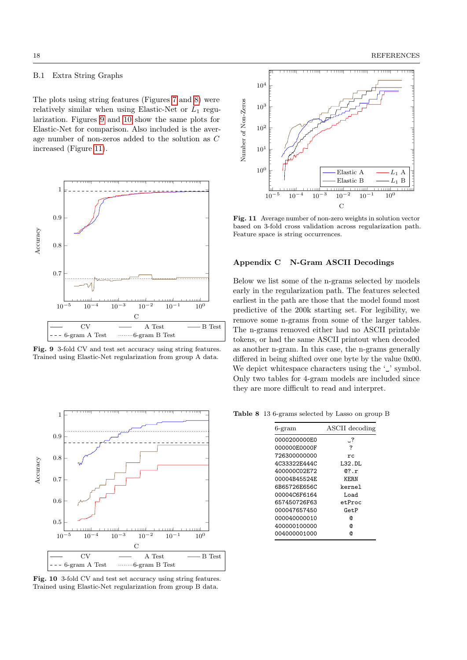# B.1 Extra String Graphs

The plots using string features (Figures [7](#page-11-1) and [8\)](#page-11-2) were relatively similar when using Elastic-Net or  $L_1$  regularization. Figures [9](#page-17-0) and [10](#page-17-1) show the same plots for Elastic-Net for comparison. Also included is the average number of non-zeros added to the solution as C increased (Figure [11\)](#page-17-2).



<span id="page-17-0"></span>Fig. 9 3-fold CV and test set accuracy using string features. Trained using Elastic-Net regularization from group A data.



<span id="page-17-1"></span>Fig. 10 3-fold CV and test set accuracy using string features. Trained using Elastic-Net regularization from group B data.



<span id="page-17-2"></span>Fig. 11 Average number of non-zero weights in solution vector based on 3-fold cross validation across regularization path. Feature space is string occurrences.

## Appendix C N-Gram ASCII Decodings

Below we list some of the n-grams selected by models early in the regularization path. The features selected earliest in the path are those that the model found most predictive of the 200k starting set. For legibility, we remove some n-grams from some of the larger tables. The n-grams removed either had no ASCII printable tokens, or had the same ASCII printout when decoded as another n-gram. In this case, the n-grams generally differed in being shifted over one byte by the value 0x00. We depict whitespace characters using the '␣' symbol. Only two tables for 4-gram models are included since they are more difficult to read and interpret.

Table 8 13 6-grams selected by Lasso on group B

| 6-gram       | ASCII decoding |
|--------------|----------------|
| 0000200000E0 | .7             |
| 000000E0000F | ?              |
| 726300000000 | rc.            |
| 4C33322F444C | L32.DL         |
| 400000C02E72 | $0?$ .r        |
| 00004B45524E | KERN           |
| 6B65726E656C | kernel         |
| 00004C6F6164 | Load           |
| 657450726F63 | etProc         |
| 000047657450 | Get.P          |
| 000040000010 | Q              |
| 400000100000 | Q              |
| 004000001000 | ര              |
|              |                |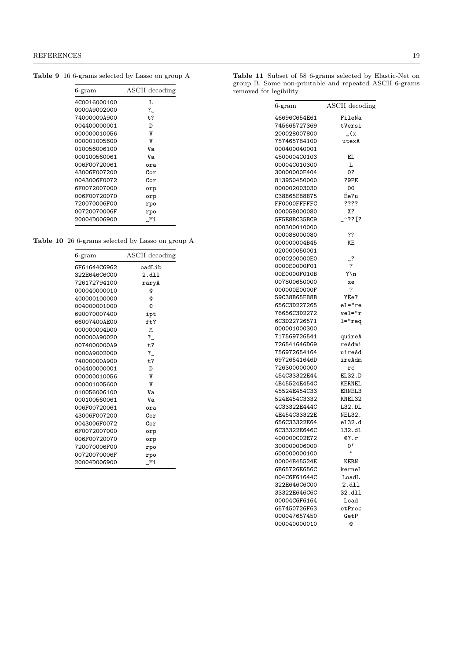|  | Table 9 16 6-grams selected by Lasso on group A |  |  |  |  |  |
|--|-------------------------------------------------|--|--|--|--|--|
|--|-------------------------------------------------|--|--|--|--|--|

| 6-gram       | ASCII decoding |
|--------------|----------------|
| 4C0016000100 | L              |
| 0000A9002000 | ?              |
| 74000000A900 | t?             |
| 004400000001 | D              |
| 000000010056 | V              |
| 000001005600 | v              |
| 010056006100 | Va             |
| 000100560061 | Vа             |
| 006F00720061 | ora            |
| 43006F007200 | Cor            |
| 0043006F0072 | Cor            |
| 6F0072007000 | orp            |
| 006F00720070 | orp            |
| 720070006F00 | rpo            |
| 00720070006F | rpo            |
| 20004D006900 | Mi             |
|              |                |

|  | <b>Table 10</b> 26 6-grams selected by Lasso on group A |  |  |  |  |  |  |
|--|---------------------------------------------------------|--|--|--|--|--|--|
|--|---------------------------------------------------------|--|--|--|--|--|--|

| 6-gram       | ASCII decoding |
|--------------|----------------|
| 6F61644C6962 | oadLib         |
| 322E646C6C00 | 2.dll          |
| 726172794100 | raryA          |
| 000040000010 | Q              |
| 400000100000 | Q              |
| 004000001000 | Q              |
| 690070007400 | ipt            |
| 66007400AE00 | ft?            |
| 000000004D00 | М              |
| 000000A90020 | ?_             |
| 0074000000A9 | t?             |
| 0000A9002000 | ?_             |
| 74000000A900 | $t$ ?          |
| 004400000001 | D              |
| 000000010056 | V              |
| 000001005600 | V              |
| 010056006100 | Va             |
| 000100560061 | Va             |
| 006F00720061 | ora            |
| 43006F007200 | $\mathtt{Cor}$ |
| 0043006F0072 | Cor            |
| 6F0072007000 | orp            |
| 006F00720070 | orp            |
| 720070006F00 | rpo            |
| 00720070006F | rpo            |
| 20004D006900 | . Mi           |

| 6-gram       | <b>ASCII</b> decoding     |
|--------------|---------------------------|
| 46696C654E61 | FileNa                    |
| 745665727369 | tVersi                    |
| 200028007800 | $\sqrt{x}$                |
| 757465784100 | utexA                     |
| 000400040001 |                           |
| 4500004C0103 | EL                        |
| 00004C010300 | L                         |
| 30000000E404 | 0?                        |
| 813950450000 | ?9PE                      |
| 000002003030 | 00                        |
| C38B65E88B75 | Ëe?u                      |
| FF0000FFFFFC | ????                      |
| 000058000080 | X?                        |
| 5F5E8BC35BC9 | ?] ??                     |
| 000300010000 |                           |
| 000088000080 | ??                        |
| 000000004B45 | KΕ                        |
| 020000050001 |                           |
| 0000200000E0 | ?۔                        |
| 0000E0000F01 | s.                        |
| 00E0000F010B | $? \n\backslash n$        |
| 007800650000 | xe                        |
| 000000E0000F | ?                         |
| 59C38B65E88B | YËe?                      |
| 656C3D227265 | el="re                    |
| 76656C3D2272 | vel="r                    |
| 6C3D22726571 | $l = "req$                |
| 000001000300 |                           |
| 717569726541 | quireA                    |
| 726541646D69 | reAdmi                    |
| 756972654164 | uireAd                    |
| 69726541646D | ireAdm                    |
| 726300000000 | rc                        |
| 454C33322E44 | EL32.D                    |
| 4B45524E454C | KERNEL                    |
| 45524E454C33 | ERNEL3                    |
| 524E454C3332 | RNEL32                    |
| 4C33322E444C | L32.DL                    |
| 4E454C33322E | NEL32.                    |
| 656C33322E64 |                           |
| 6C33322E646C | e132.d<br>132.dl          |
|              |                           |
| 400000C02E72 | $@?$ .r<br>0 <sup>1</sup> |
| 300000006000 | C                         |
| 600000000100 |                           |
| 00004B45524E | KERN                      |
| 6B65726E656C | kernel                    |
| 004C6F61644C | LoadL                     |
| 322E646C6C00 | 2.dll                     |
| 33322E646C6C | 32.dll                    |
| 00004C6F6164 | Load                      |
| 657450726F63 | ${\tt etProc}$            |
| 000047657450 | GetP                      |
| 000040000010 | Q                         |

Table 11 Subset of 58 6-grams selected by Elastic-Net on group B. Some non-printable and repeated ASCII 6-grams removed for legibility